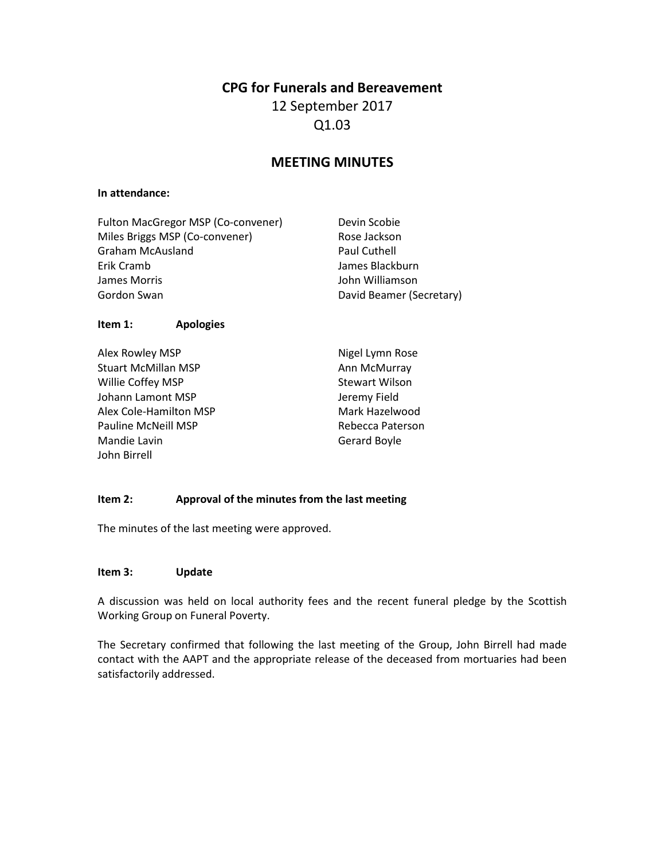## **CPG for Funerals and Bereavement**

# 12 September 2017 Q1.03

# **MEETING MINUTES**

#### **In attendance:**

| Fulton MacGregor MSP (Co-convener) | Devin Scobie             |
|------------------------------------|--------------------------|
| Miles Briggs MSP (Co-convener)     | Rose Jackson             |
| <b>Graham McAusland</b>            | Paul Cuthell             |
| Erik Cramb                         | James Blackburn          |
| James Morris                       | John Williamson          |
| Gordon Swan                        | David Beamer (Secretary) |
|                                    |                          |

#### **Item 1: Apologies**

Alex Rowley MSP Stuart McMillan MSP Willie Coffey MSP Johann Lamont MSP Alex Cole-Hamilton MSP Pauline McNeill MSP Mandie Lavin John Birrell

Nigel Lymn Rose Ann McMurray Stewart Wilson Jeremy Field Mark Hazelwood Rebecca Paterson Gerard Boyle

### **Item 2: Approval of the minutes from the last meeting**

The minutes of the last meeting were approved.

#### **Item 3: Update**

A discussion was held on local authority fees and the recent funeral pledge by the Scottish Working Group on Funeral Poverty.

The Secretary confirmed that following the last meeting of the Group, John Birrell had made contact with the AAPT and the appropriate release of the deceased from mortuaries had been satisfactorily addressed.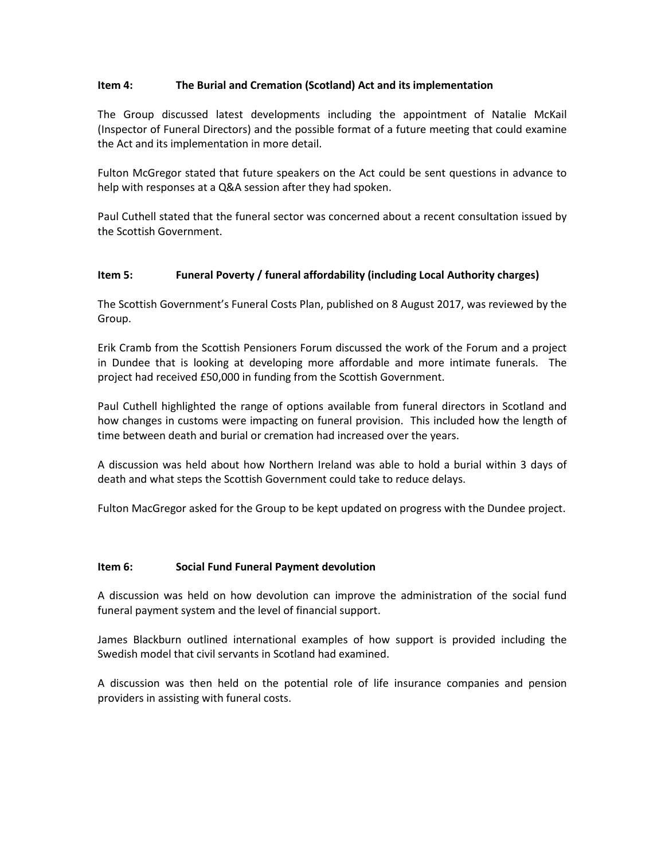### **Item 4: The Burial and Cremation (Scotland) Act and its implementation**

The Group discussed latest developments including the appointment of Natalie McKail (Inspector of Funeral Directors) and the possible format of a future meeting that could examine the Act and its implementation in more detail.

Fulton McGregor stated that future speakers on the Act could be sent questions in advance to help with responses at a Q&A session after they had spoken.

Paul Cuthell stated that the funeral sector was concerned about a recent consultation issued by the Scottish Government.

#### **Item 5: Funeral Poverty / funeral affordability (including Local Authority charges)**

The Scottish Government's Funeral Costs Plan, published on 8 August 2017, was reviewed by the Group.

Erik Cramb from the Scottish Pensioners Forum discussed the work of the Forum and a project in Dundee that is looking at developing more affordable and more intimate funerals. The project had received £50,000 in funding from the Scottish Government.

Paul Cuthell highlighted the range of options available from funeral directors in Scotland and how changes in customs were impacting on funeral provision. This included how the length of time between death and burial or cremation had increased over the years.

A discussion was held about how Northern Ireland was able to hold a burial within 3 days of death and what steps the Scottish Government could take to reduce delays.

Fulton MacGregor asked for the Group to be kept updated on progress with the Dundee project.

#### **Item 6: Social Fund Funeral Payment devolution**

A discussion was held on how devolution can improve the administration of the social fund funeral payment system and the level of financial support.

James Blackburn outlined international examples of how support is provided including the Swedish model that civil servants in Scotland had examined.

A discussion was then held on the potential role of life insurance companies and pension providers in assisting with funeral costs.